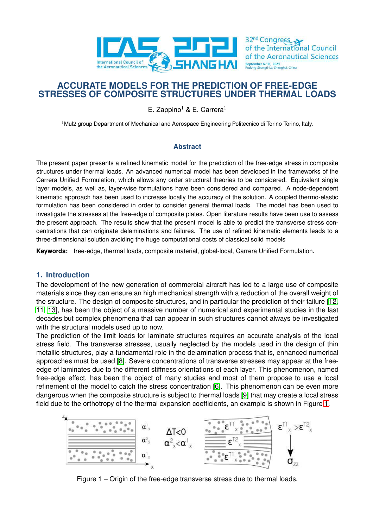

# **ACCURATE MODELS FOR THE PREDICTION OF FREE-EDGE STRESSES OF COMPOSITE STRUCTURES UNDER THERMAL LOADS**

E. Zappino<sup>1</sup> & E. Carrera<sup>1</sup>

<sup>1</sup> Mul2 group Department of Mechanical and Aerospace Engineering Politecnico di Torino Torino, Italy.

## **Abstract**

The present paper presents a refined kinematic model for the prediction of the free-edge stress in composite structures under thermal loads. An advanced numerical model has been developed in the frameworks of the Carrera Unified Formulation, which allows any order structural theories to be considered. Equivalent single layer models, as well as, layer-wise formulations have been considered and compared. A node-dependent kinematic approach has been used to increase locally the accuracy of the solution. A coupled thermo-elastic formulation has been considered in order to consider general thermal loads. The model has been used to investigate the stresses at the free-edge of composite plates. Open literature results have been use to assess the present approach. The results show that the present model is able to predict the transverse stress concentrations that can originate delaminations and failures. The use of refined kinematic elements leads to a three-dimensional solution avoiding the huge computational costs of classical solid models

**Keywords:** free-edge, thermal loads, composite material, global-local, Carrera Unified Formulation.

## **1. Introduction**

The development of the new generation of commercial aircraft has led to a large use of composite materials since they can ensure an high mechanical strength with a reduction of the overall weight of the structure. The design of composite structures, and in particular the prediction of their failure [\[12,](#page-10-0) [11,](#page-10-1) [13\]](#page-10-2), has been the object of a massive number of numerical and experimental studies in the last decades but complex phenomena that can appear in such structures cannot always be investigated with the structural models used up to now.

The prediction of the limit loads for laminate structures requires an accurate analysis of the local stress field. The transverse stresses, usually neglected by the models used in the design of thin metallic structures, play a fundamental role in the delamination process that is, enhanced numerical approaches must be used [\[8\]](#page-9-0). Severe concentrations of transverse stresses may appear at the freeedge of laminates due to the different stiffness orientations of each layer. This phenomenon, named free-edge effect, has been the object of many studies and most of them propose to use a local refinement of the model to catch the stress concentration [\[6\]](#page-9-1). This phenomenon can be even more dangerous when the composite structure is subject to thermal loads [\[9\]](#page-9-2) that may create a local stress field due to the orthotropy of the thermal expansion coefficients, an example is shown in Figure [1.](#page-0-0)

<span id="page-0-0"></span>

Figure 1 – Origin of the free-edge transverse stress due to thermal loads.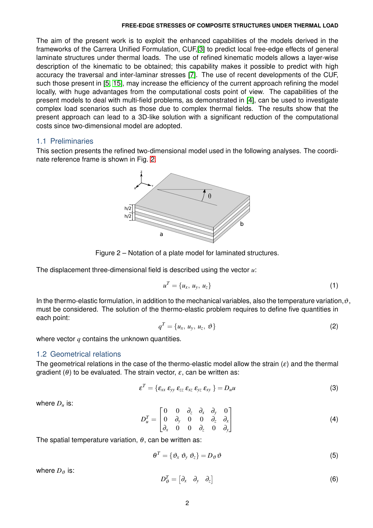The aim of the present work is to exploit the enhanced capabilities of the models derived in the frameworks of the Carrera Unified Formulation, CUF,[\[3\]](#page-9-3) to predict local free-edge effects of general laminate structures under thermal loads. The use of refined kinematic models allows a layer-wise description of the kinematic to be obtained; this capability makes it possible to predict with high accuracy the traversal and inter-laminar stresses [\[7\]](#page-9-4). The use of recent developments of the CUF, such those present in [\[5,](#page-9-5) [15\]](#page-10-3), may increase the efficiency of the current approach refining the model locally, with huge advantages from the computational costs point of view. The capabilities of the present models to deal with multi-field problems, as demonstrated in [4], can be used to investigate complex load scenarios such as those due to complex thermal fields. The results show that the present approach can lead to a 3D-like solution with a significant reduction of the computational costs since two-dimensional model are adopted.

## 1.1 Preliminaries

<span id="page-1-0"></span>This section presents the refined two-dimensional model used in the following analyses. The coordinate reference frame is shown in Fig. [2.](#page-1-0)



Figure 2 – Notation of a plate model for laminated structures.

The displacement three-dimensional field is described using the vector *u*:

$$
u^T = \{u_x, u_y, u_z\} \tag{1}
$$

In the thermo-elastic formulation, in addition to the mechanical variables, also the temperature variation,  $\vartheta$ , must be considered. The solution of the thermo-elastic problem requires to define five quantities in each point:

$$
q^T = \{u_x, u_y, u_z, \vartheta\}
$$
 (2)

where vector *q* contains the unknown quantities.

## 1.2 Geometrical relations

The geometrical relations in the case of the thermo-elastic model allow the strain  $(\varepsilon)$  and the thermal gradient ( $\theta$ ) to be evaluated. The strain vector,  $\varepsilon$ , can be written as:

$$
\varepsilon^T = \{ \varepsilon_{xx} \varepsilon_{yy} \varepsilon_{zz} \varepsilon_{xz} \varepsilon_{yz} \varepsilon_{xy} \} = D_u u \tag{3}
$$

where  $D_u$  is:

$$
D_u^T = \begin{bmatrix} 0 & 0 & \partial_z & \partial_x & \partial_y & 0 \\ 0 & \partial_y & 0 & 0 & \partial_z & \partial_x \\ \partial_x & 0 & 0 & \partial_z & 0 & \partial_y \end{bmatrix}
$$
 (4)

The spatial temperature variation,  $\theta$ , can be written as:

$$
\theta^T = \{ \vartheta_x \; \vartheta_y \; \vartheta_z \} = D_{\vartheta} \, \vartheta \tag{5}
$$

where  $D_{\vartheta}$  is:

$$
D_{\vartheta}^T = \begin{bmatrix} \partial_x & \partial_y & \partial_z \end{bmatrix} \tag{6}
$$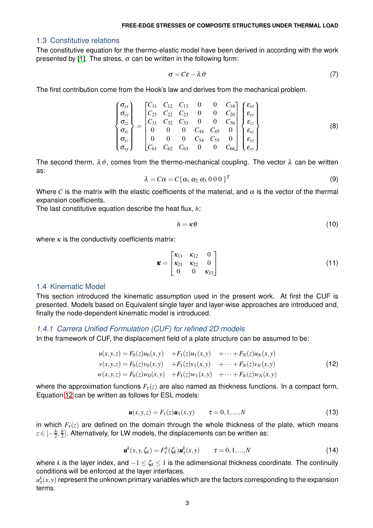### 1.3 Constitutive relations

The constitutive equation for the thermo-elastic model have been derived in according with the work presented by [\[1\]](#page-9-6). The stress,  $\sigma$  can be written in the following form:

$$
\sigma = C\varepsilon - \lambda \vartheta \tag{7}
$$

The first contribution come from the Hook's law and derives from the mechanical problem.

$$
\begin{Bmatrix}\n\sigma_{xx} \\
\sigma_{yy} \\
\sigma_{zz} \\
\sigma_{xz} \\
\sigma_{yz} \\
\sigma_{yz} \\
\sigma_{xy}\n\end{Bmatrix} = \begin{bmatrix}\nC_{11} & C_{12} & C_{13} & 0 & 0 & C_{16} \\
C_{21} & C_{22} & C_{23} & 0 & 0 & C_{26} \\
C_{31} & C_{32} & C_{33} & 0 & 0 & C_{36} \\
0 & 0 & 0 & C_{44} & C_{45} & 0 \\
0 & 0 & 0 & C_{54} & C_{55} & 0 \\
C_{61} & C_{62} & C_{63} & 0 & 0 & C_{66}\n\end{bmatrix} \begin{Bmatrix}\n\varepsilon_{xx} \\
\varepsilon_{yy} \\
\varepsilon_{zz} \\
\varepsilon_{xz} \\
\varepsilon_{yz} \\
\varepsilon_{xy}\n\end{Bmatrix}
$$
\n(8)

The second therm,  $\lambda \vartheta$ , comes from the thermo-mechanical coupling. The vector  $\lambda$  can be written as:

$$
\lambda = C\alpha = C\{\alpha_1 \alpha_2 \alpha_3 0 0 0\}^T
$$
\n(9)

Where *C* is the matrix with the elastic coefficients of the material, and  $\alpha$  is the vector of the thermal expansion coefficients.

The last constitutive equation describe the heat flux, *h*:

$$
h = \kappa \theta \tag{10}
$$

where  $\kappa$  is the conductivity coefficients matrix:

$$
\mathbf{k} = \begin{bmatrix} \kappa_{11} & \kappa_{12} & 0 \\ \kappa_{21} & \kappa_{22} & 0 \\ 0 & 0 & \kappa_{33} \end{bmatrix}
$$
 (11)

## 1.4 Kinematic Model

This section introduced the kinematic assumption used in the present work. At first the CUF is presented. Models based on Equivalent single layer and layer-wise approaches are introduced and, finally the node-dependent kinematic model is introduced.

### *1.4.1 Carrera Unified Formulation (CUF) for refined 2D models*

<span id="page-2-0"></span>In the framework of CUF, the displacement field of a plate structure can be assumed to be:

$$
u(x, y, z) = F_0(z)u_0(x, y) + F_1(z)u_1(x, y) + \cdots + F_N(z)u_N(x, y)
$$
  
\n
$$
v(x, y, z) = F_0(z)v_0(x, y) + F_1(z)v_1(x, y) + \cdots + F_N(z)v_N(x, y)
$$
  
\n
$$
w(x, y, z) = F_0(z)w_0(x, y) + F_1(z)w_1(x, y) + \cdots + F_N(z)w_N(x, y)
$$
\n(12)

<span id="page-2-1"></span>where the approximation functions  $F_{\tau}(z)$  are also named as thickness functions. In a compact form, Equation [12](#page-2-0) can be written as follows for ESL models:

$$
\boldsymbol{u}(x, y, z) = F_{\tau}(z)\boldsymbol{u}_{\tau}(x, y) \qquad \tau = 0, 1, ..., N \qquad (13)
$$

in which  $F_{\tau}(z)$  are defined on the domain through the whole thickness of the plate, which means  $z\in [-\frac{h}{2},\frac{h}{2}].$  Alternatively, for LW models, the displacements can be written as:

$$
\boldsymbol{u}^{k}(x, y, \zeta_{k}) = F_{\tau}^{k}(\zeta_{k}) \boldsymbol{u}_{\tau}^{k}(x, y) \qquad \tau = 0, 1, ..., N
$$
\n(14)

where *k* is the layer index, and  $-1 \leq \zeta_k \leq 1$  is the adimensional thickness coordinate. The continuity conditions will be enforced at the layer interfaces.

 $u_\tau^k(x,y)$  represent the unknown primary variables which are the factors corresponding to the expansion terms.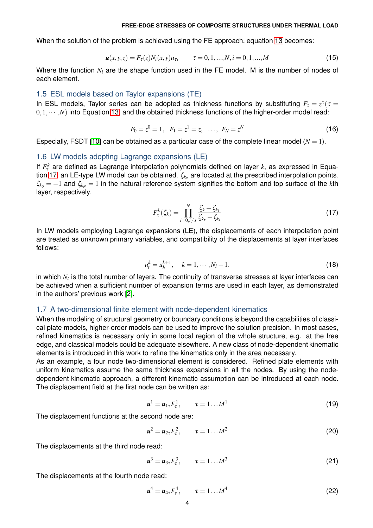When the solution of the problem is achieved using the FE approach, equation [13](#page-2-1) becomes:

$$
\boldsymbol{u}(x, y, z) = F_{\tau}(z) N_i(x, y) u_{\tau i} \qquad \tau = 0, 1, ..., N, i = 0, 1, ..., M
$$
\n(15)

Where the function *N<sup>i</sup>* are the shape function used in the FE model. M is the number of nodes of each element.

### 1.5 ESL models based on Taylor expansions (TE)

In ESL models, Taylor series can be adopted as thickness functions by substituting  $F_\tau = z^\tau$  ( $\tau =$  $(0,1,\dots,N)$  into Equation [13,](#page-2-1) and the obtained thickness functions of the higher-order model read:

$$
F_0 = z^0 = 1, \quad F_1 = z^1 = z, \quad \dots, \quad F_N = z^N \tag{16}
$$

Especially, FSDT [\[10\]](#page-9-7) can be obtained as a particular case of the complete linear model  $(N = 1)$ .

#### 1.6 LW models adopting Lagrange expansions (LE)

<span id="page-3-0"></span>If  $F_{\tau}^k$  are defined as Lagrange interpolation polynomials defined on layer  $k$ , as expressed in Equa-tion [17,](#page-3-0) an LE-type LW model can be obtained.  $\zeta_{k_{\tau}}$  are located at the prescribed interpolation points.  $\zeta_{k_0} = -1$  and  $\zeta_{k_N} = 1$  in the natural reference system signifies the bottom and top surface of the *k*th layer, respectively.

$$
F_{\tau}^{k}(\zeta_{k}) = \prod_{i=0, i \neq s}^{N} \frac{\zeta_{k} - \zeta_{k_{i}}}{\zeta_{k_{\tau}} - \zeta_{k_{i}}}
$$
(17)

In LW models employing Lagrange expansions (LE), the displacements of each interpolation point are treated as unknown primary variables, and compatibility of the displacements at layer interfaces follows:

$$
u_t^k = u_b^{k+1}, \quad k = 1, \cdots, N_l - 1. \tag{18}
$$

in which  $N_l$  is the total number of layers. The continuity of transverse stresses at layer interfaces can be achieved when a sufficient number of expansion terms are used in each layer, as demonstrated in the authors' previous work [\[2\]](#page-9-8).

#### 1.7 A two-dimensional finite element with node-dependent kinematics

When the modeling of structural geometry or boundary conditions is beyond the capabilities of classical plate models, higher-order models can be used to improve the solution precision. In most cases, refined kinematics is necessary only in some local region of the whole structure, e.g. at the free edge, and classical models could be adequate elsewhere. A new class of node-dependent kinematic elements is introduced in this work to refine the kinematics only in the area necessary.

As an example, a four node two-dimensional element is considered. Refined plate elements with uniform kinematics assume the same thickness expansions in all the nodes. By using the nodedependent kinematic approach, a different kinematic assumption can be introduced at each node. The displacement field at the first node can be written as:

$$
\boldsymbol{u}^1 = \boldsymbol{u}_{1\tau} F_{\tau}^1, \qquad \tau = 1 \dots M^1 \tag{19}
$$

The displacement functions at the second node are:

$$
u^2 = u_{2\tau} F_\tau^2, \qquad \tau = 1 \dots M^2 \tag{20}
$$

The displacements at the third node read:

$$
\boldsymbol{u}^3 = \boldsymbol{u}_{3\tau} F_{\tau}^3, \qquad \tau = 1 \dots M^3 \tag{21}
$$

The displacements at the fourth node read:

$$
\boldsymbol{u}^4 = \boldsymbol{u}_{4\tau} F_{\tau}^4, \qquad \tau = 1 \dots M^4 \tag{22}
$$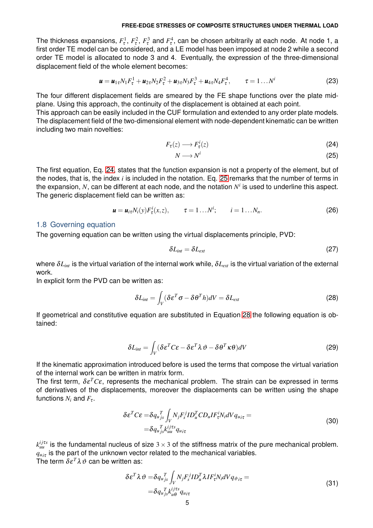The thickness expansions,  $F^1_\tau$ ,  $F^2_\tau$ ,  $F^3_\tau$  and  $F^4_\tau$ , can be chosen arbitrarily at each node. At node 1, a first order TE model can be considered, and a LE model has been imposed at node 2 while a second order TE model is allocated to node 3 and 4. Eventually, the expression of the three-dimensional displacement field of the whole element becomes:

$$
\mathbf{u} = \mathbf{u}_{1\tau} N_1 F_\tau^1 + \mathbf{u}_{2\tau} N_2 F_\tau^2 + \mathbf{u}_{3\tau} N_3 F_\tau^3 + \mathbf{u}_{4\tau} N_4 F_\tau^4, \qquad \tau = 1 ... N^i
$$
 (23)

The four different displacement fields are smeared by the FE shape functions over the plate midplane. Using this approach, the continuity of the displacement is obtained at each point.

This approach can be easily included in the CUF formulation and extended to any order plate models. The displacement field of the two-dimensional element with node-dependent kinematic can be written including two main novelties:

$$
F_{\tau}(z) \longrightarrow F_{\tau}^{i}(z) \tag{24}
$$

<span id="page-4-1"></span><span id="page-4-0"></span>
$$
N \longrightarrow N^i \tag{25}
$$

The first equation, Eq. [24,](#page-4-0) states that the function expansion is not a property of the element, but of the nodes, that is, the index *i* is included in the notation. Eq. [25](#page-4-1) remarks that the number of terms in the expansion,  $N$ , can be different at each node, and the notation  $N^i$  is used to underline this aspect. The generic displacement field can be written as:

$$
\mathbf{u} = \mathbf{u}_{i\tau} N_i(\mathbf{y}) F_{\tau}^i(\mathbf{x}, \mathbf{z}), \qquad \tau = 1 \dots N^i; \qquad i = 1 \dots N_n. \tag{26}
$$

### 1.8 Governing equation

The governing equation can be written using the virtual displacements principle, PVD:

<span id="page-4-2"></span>
$$
\delta L_{int} = \delta L_{ext} \tag{27}
$$

where  $\delta L_{int}$  is the virtual variation of the internal work while,  $\delta L_{ext}$  is the virtual variation of the external work.

In explicit form the PVD can be written as:

$$
\delta L_{int} = \int_{V} (\delta \varepsilon^{T} \sigma - \delta \theta^{T} h) dV = \delta L_{ext}
$$
\n(28)

If geometrical and constitutive equation are substituted in Equation [28](#page-4-2) the following equation is obtained:

$$
\delta L_{int} = \int_{V} (\delta \varepsilon^{T} C \varepsilon - \delta \varepsilon^{T} \lambda \vartheta - \delta \theta^{T} \kappa \theta) dV
$$
 (29)

If the kinematic approximation introduced before is used the terms that compose the virtual variation of the internal work can be written in matrix form.

The first term,  $\delta \varepsilon^T C \varepsilon$ , represents the mechanical problem. The strain can be expressed in terms of derivatives of the displacements, moreover the displacements can be written using the shape functions  $N_i$  and  $F_\tau$ .

$$
\delta \varepsilon^{T} C \varepsilon = \delta q_{u_{j\sigma}}^{T} \int_{V} N_{j} F_{s}^{j} I D_{u}^{T} C D_{u} I F_{\tau}^{i} N_{i} dV q_{u_{i\tau}} =
$$
\n
$$
= \delta q_{u_{j\sigma}}^{T} k_{uu}^{ij \tau s} q_{u_{i\tau}} \tag{30}
$$

 $k_{uu}^{ij\tau s}$  is the fundamental nucleus of size  $3\times 3$  of the stiffness matrix of the pure mechanical problem.  $q_{u i\tau}$  is the part of the unknown vector related to the mechanical variables. The term  $\delta \varepsilon^T \lambda \vartheta$  can be written as:

$$
\delta \varepsilon^T \lambda \vartheta = \delta q_{ujs}^T \int_V N_j F_s^j I D_u^T \lambda I F_\tau^i N_i dV q_{\vartheta i\tau} =
$$
\n
$$
= \delta q_{ujs}^T k_{u\theta}^{ij\tau s} q_{u i\tau}
$$
\n(31)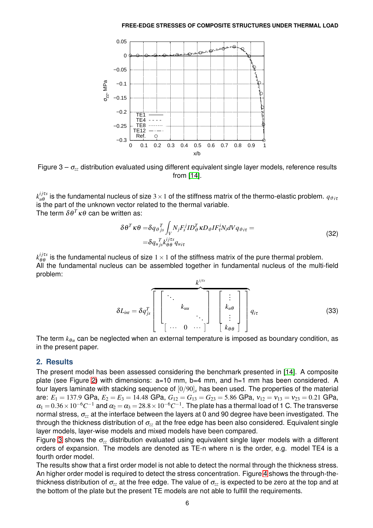<span id="page-5-0"></span>

Figure  $3 - \sigma_{zz}$  distribution evaluated using different equivalent single layer models, reference results from [\[14\]](#page-10-4).

*k i j*τ*s*  $u^{ijts}_{\mu\theta}$  is the fundamental nucleus of size  $3\times1$  of the stiffness matrix of the thermo-elastic problem.  $q_{\vartheta}{}_{i\tau}$ is the part of the unknown vector related to the thermal variable. The term  $\delta \theta^T \kappa \theta$  can be written as:

$$
\delta \theta^T \kappa \theta = \delta q_{\vartheta j_s}^T \int_V N_j F_s^j I D_{\vartheta}^T \kappa D_{\vartheta} I F_{\tau}^i N_i dV q_{\vartheta i\tau} =
$$
  
=  $\delta q_{u j_s}^T k_{\theta \theta}^{ij \tau s} q_{u i\tau}$  (32)

*k i j*τ*s*  $\frac{dfds}{\theta\theta}$  is the fundamental nucleus of size  $1\times1$  of the stiffness matrix of the pure thermal problem. All the fundamental nucleus can be assembled together in fundamental nucleus of the multi-field problem:

$$
\delta L_{int} = \delta q_{js}^T \left[ \begin{bmatrix} \cdot & \cdot & \cdot & \cdot \\ \cdot & k_{uu} & \cdot & \cdot \\ \cdot & \cdot & \cdot & \cdot \\ \cdot & \cdot & \cdot & \cdot \end{bmatrix} \begin{bmatrix} \cdot & \cdot & \cdot & \cdot \\ k_{u\theta} & \cdot & \cdot & \cdot \\ \cdot & \cdot & \cdot & \cdot \\ k_{\theta\theta} & \cdot & \cdot \end{bmatrix} \right] q_{i\tau} \qquad (33)
$$

The term  $k_{\theta u}$  can be neglected when an external temperature is imposed as boundary condition, as in the present paper.

# **2. Results**

The present model has been assessed considering the benchmark presented in [\[14\]](#page-10-4). A composite plate (see Figure [2\)](#page-1-0) with dimensions: a=10 mm, b=4 mm, and h=1 mm has been considered. A four layers laminate with stacking sequence of [0/90]*<sup>s</sup>* has been used. The properties of the material are:  $E_1 = 137.9$  GPa,  $E_2 = E_3 = 14.48$  GPa,  $G_{12} = G_{13} = G_{23} = 5.86$  GPa,  $v_{12} = v_{13} = v_{23} = 0.21$  GPa,  $\alpha_1=$   $0.36\times10^{-6}C^{-1}$  and  $\alpha_2=\alpha_3$   $=$   $28.8\times10^{-6}C^{-1}$  . The plate has a thermal load of 1 C. The transverse normal stress, <sup>σ</sup>*zz* at the interface between the layers at 0 and 90 degree have been investigated. The through the thickness distribution of  $\sigma_{z}$  at the free edge has been also considered. Equivalent single layer models, layer-wise models and mixed models have been compared.

Figure [3](#page-5-0) shows the <sup>σ</sup>*zz* distribution evaluated using equivalent single layer models with a different orders of expansion. The models are denoted as TE-n where n is the order, e.g. model TE4 is a fourth order model.

The results show that a first order model is not able to detect the normal through the thickness stress. An higher order model is required to detect the stress concentration. Figure [4](#page-6-0) shows the through-thethickness distribution of <sup>σ</sup>*zz* at the free edge. The value of <sup>σ</sup>*zz* is expected to be zero at the top and at the bottom of the plate but the present TE models are not able to fulfill the requirements.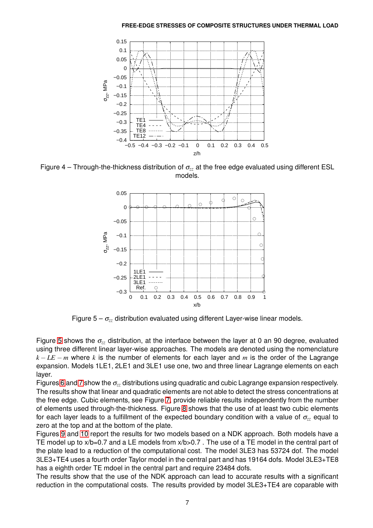<span id="page-6-0"></span>

<span id="page-6-1"></span>Figure 4 – Through-the-thickness distribution of <sup>σ</sup>*zz* at the free edge evaluated using different ESL models.



Figure  $5 - \sigma_{zz}$  distribution evaluated using different Layer-wise linear models.

Figure [5](#page-6-1) shows the  $\sigma_{zz}$  distribution, at the interface between the layer at 0 an 90 degree, evaluated using three different linear layer-wise approaches. The models are denoted using the nomenclature  $k - LE - m$  where *k* is the number of elements for each layer and *m* is the order of the Lagrange expansion. Models 1LE1, 2LE1 and 3LE1 use one, two and three linear Lagrange elements on each layer.

Figures [6](#page-7-0) and [7](#page-7-1) show the <sup>σ</sup>*zz* distributions using quadratic and cubic Lagrange expansion respectively. The results show that linear and quadratic elements are not able to detect the stress concentrations at the free edge. Cubic elements, see Figure [7,](#page-7-1) provide reliable results independently from the number of elements used through-the-thickness. Figure [8](#page-7-2) shows that the use of at least two cubic elements for each layer leads to a fulfillment of the expected boundary condition with a value of <sup>σ</sup>*zz* equal to zero at the top and at the bottom of the plate.

Figures [9](#page-8-0) and [10](#page-8-1) report the results for two models based on a NDK approach. Both models have a TE model up to  $x/b=0.7$  and a LE models from  $x/b>0.7$ . The use of a TE model in the central part of the plate lead to a reduction of the computational cost. The model 3LE3 has 53724 dof. The model 3LE3+TE4 uses a fourth order Taylor model in the central part and has 19164 dofs. Model 3LE3+TE8 has a eighth order TE mdoel in the central part and require 23484 dofs.

The results show that the use of the NDK approach can lead to accurate results with a significant reduction in the computational costs. The results provided by model 3LE3+TE4 are coparable with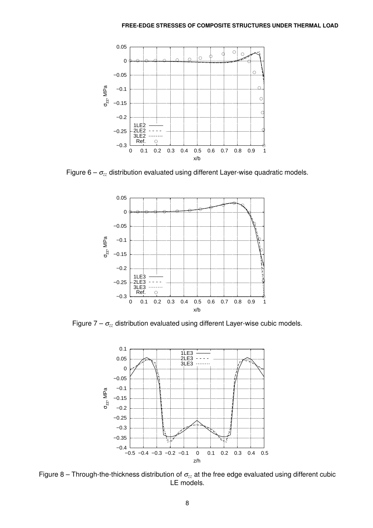<span id="page-7-0"></span>

<span id="page-7-1"></span>Figure 6 – <sup>σ</sup>*zz* distribution evaluated using different Layer-wise quadratic models.



<span id="page-7-2"></span>Figure 7 – <sup>σ</sup>*zz* distribution evaluated using different Layer-wise cubic models.



Figure 8 – Through-the-thickness distribution of <sup>σ</sup>*zz* at the free edge evaluated using different cubic LE models.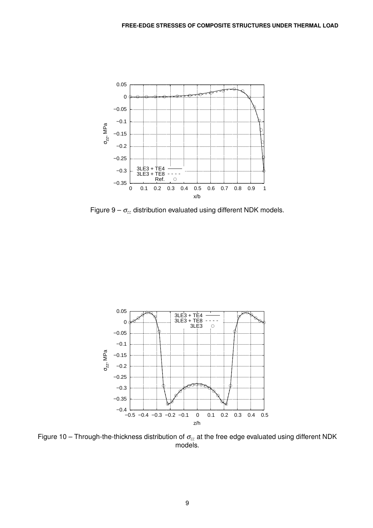<span id="page-8-0"></span>

Figure  $9 - \sigma_{zz}$  distribution evaluated using different NDK models.

<span id="page-8-1"></span>

Figure 10 – Through-the-thickness distribution of <sup>σ</sup>*zz* at the free edge evaluated using different NDK models.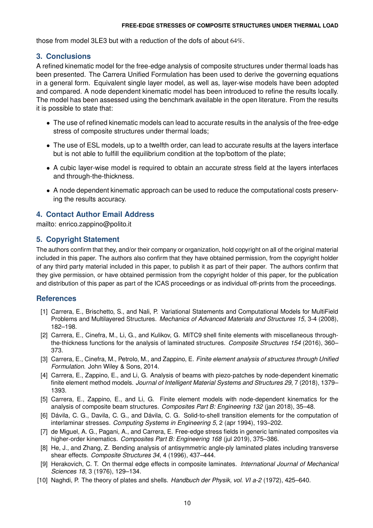those from model 3LE3 but with a reduction of the dofs of about 64%.

## **3. Conclusions**

A refined kinematic model for the free-edge analysis of composite structures under thermal loads has been presented. The Carrera Unified Formulation has been used to derive the governing equations in a general form. Equivalent single layer model, as well as, layer-wise models have been adopted and compared. A node dependent kinematic model has been introduced to refine the results locally. The model has been assessed using the benchmark available in the open literature. From the results it is possible to state that:

- The use of refined kinematic models can lead to accurate results in the analysis of the free-edge stress of composite structures under thermal loads;
- The use of ESL models, up to a twelfth order, can lead to accurate results at the layers interface but is not able to fulfill the equilibrium condition at the top/bottom of the plate;
- A cubic layer-wise model is required to obtain an accurate stress field at the layers interfaces and through-the-thickness.
- A node dependent kinematic approach can be used to reduce the computational costs preserving the results accuracy.

## **4. Contact Author Email Address**

mailto: enrico.zappino@polito.it

## **5. Copyright Statement**

The authors confirm that they, and/or their company or organization, hold copyright on all of the original material included in this paper. The authors also confirm that they have obtained permission, from the copyright holder of any third party material included in this paper, to publish it as part of their paper. The authors confirm that they give permission, or have obtained permission from the copyright holder of this paper, for the publication and distribution of this paper as part of the ICAS proceedings or as individual off-prints from the proceedings.

## <span id="page-9-6"></span>**References**

- [1] Carrera, E., Brischetto, S., and Nali, P. Variational Statements and Computational Models for MultiField Problems and Multilayered Structures. *Mechanics of Advanced Materials and Structures 15*, 3-4 (2008), 182–198.
- <span id="page-9-8"></span>[2] Carrera, E., Cinefra, M., Li, G., and Kulikov, G. MITC9 shell finite elements with miscellaneous throughthe-thickness functions for the analysis of laminated structures. *Composite Structures 154* (2016), 360– 373.
- <span id="page-9-3"></span>[3] Carrera, E., Cinefra, M., Petrolo, M., and Zappino, E. *Finite element analysis of structures through Unified Formulation*. John Wiley & Sons, 2014.
- [4] Carrera, E., Zappino, E., and Li, G. Analysis of beams with piezo-patches by node-dependent kinematic finite element method models. *Journal of Intelligent Material Systems and Structures 29*, 7 (2018), 1379– 1393.
- <span id="page-9-5"></span>[5] Carrera, E., Zappino, E., and Li, G. Finite element models with node-dependent kinematics for the analysis of composite beam structures. *Composites Part B: Engineering 132* (jan 2018), 35–48.
- <span id="page-9-1"></span>[6] Dávila, C. G., Davila, C. G., and Dávila, C. G. Solid-to-shell transition elements for the computation of interlaminar stresses. *Computing Systems in Engineering 5*, 2 (apr 1994), 193–202.
- <span id="page-9-4"></span>[7] de Miguel, A. G., Pagani, A., and Carrera, E. Free-edge stress fields in generic laminated composites via higher-order kinematics. *Composites Part B: Engineering 168* (jul 2019), 375–386.
- <span id="page-9-0"></span>[8] He, J., and Zhang, Z. Bending analysis of antisymmetric angle-ply laminated plates including transverse shear effects. *Composite Structures 34*, 4 (1996), 437–444.
- <span id="page-9-2"></span>[9] Herakovich, C. T. On thermal edge effects in composite laminates. *International Journal of Mechanical Sciences 18*, 3 (1976), 129–134.
- <span id="page-9-7"></span>[10] Naghdi, P. The theory of plates and shells. *Handbuch der Physik, vol. VI a-2* (1972), 425–640.